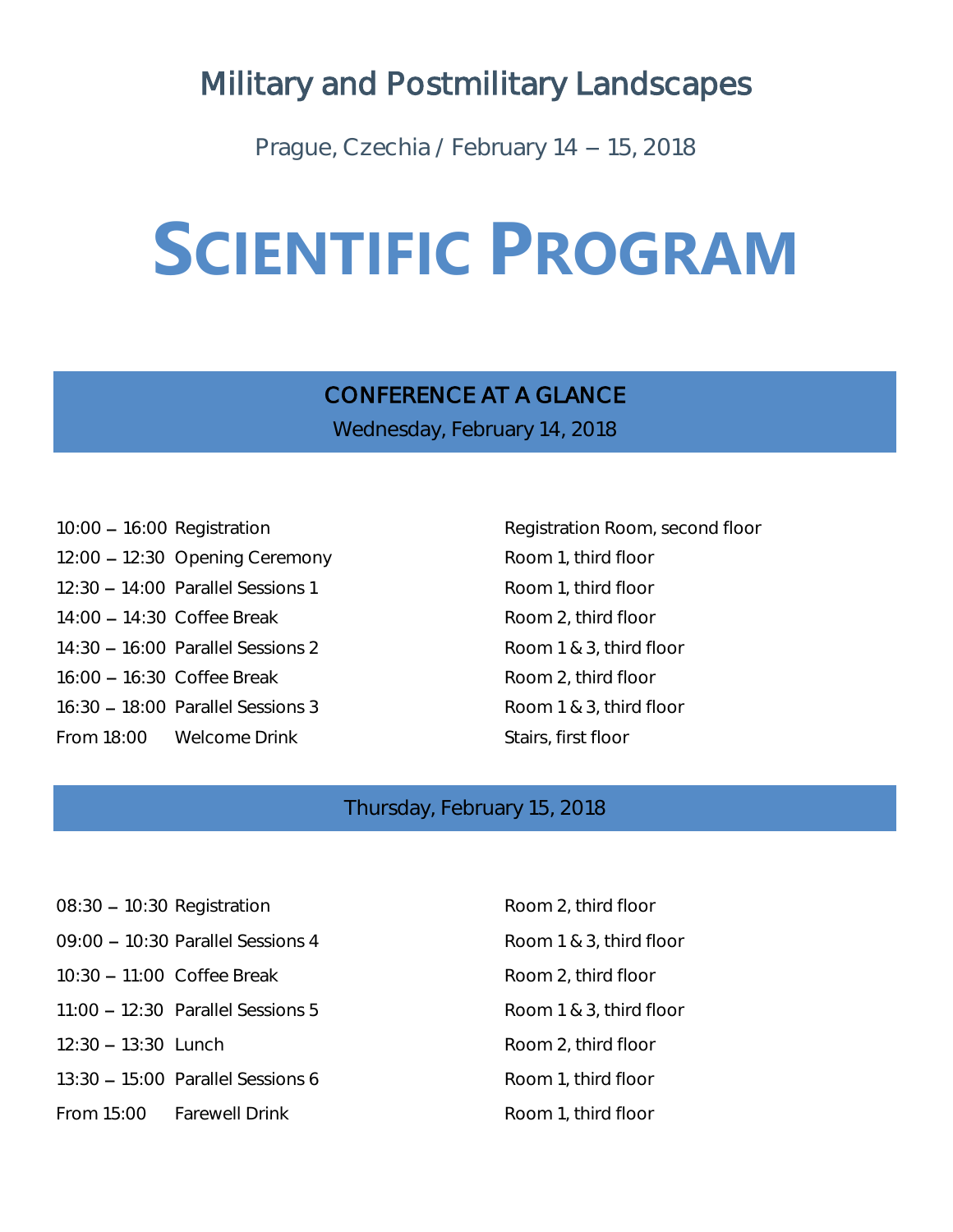# Military and Postmilitary Landscapes

Prague, Czechia / February 14 - 15, 2018

# **SCIENTIFIC PROGRAM**

# CONFERENCE AT A GLANCE

Wednesday, February 14, 2018

- 10:00 16:00 Registration **Registration** Registration Room, second floor 12:00 - 12:30 Opening Ceremony Room 1, third floor 12:30 - 14:00 Parallel Sessions 1 Room 1, third floor 14:00 - 14:30 Coffee Break Room 2, third floor 14:30 - 16:00 Parallel Sessions 2 Room 1 & 3, third floor 16:00 - 16:30 Coffee Break Room 2, third floor 16:30 - 18:00 Parallel Sessions 3 Room 1 & 3, third floor From 18:00 Welcome Drink Stairs, first floor
- 

# Thursday, February 15, 2018

- 08:30 10:30 Registration Room 2, third floor 09:00 - 10:30 Parallel Sessions 4 Room 1 & 3, third floor 10:30 - 11:00 Coffee Break Room 2, third floor  $11:00 - 12:30$  Parallel Sessions 5 Room 1 & 3, third floor  $12:30 - 13:30$  Lunch Room 2, third floor 13:30 - 15:00 Parallel Sessions 6 Room 1, third floor From 15:00 Farewell Drink Room 1, third floor
	-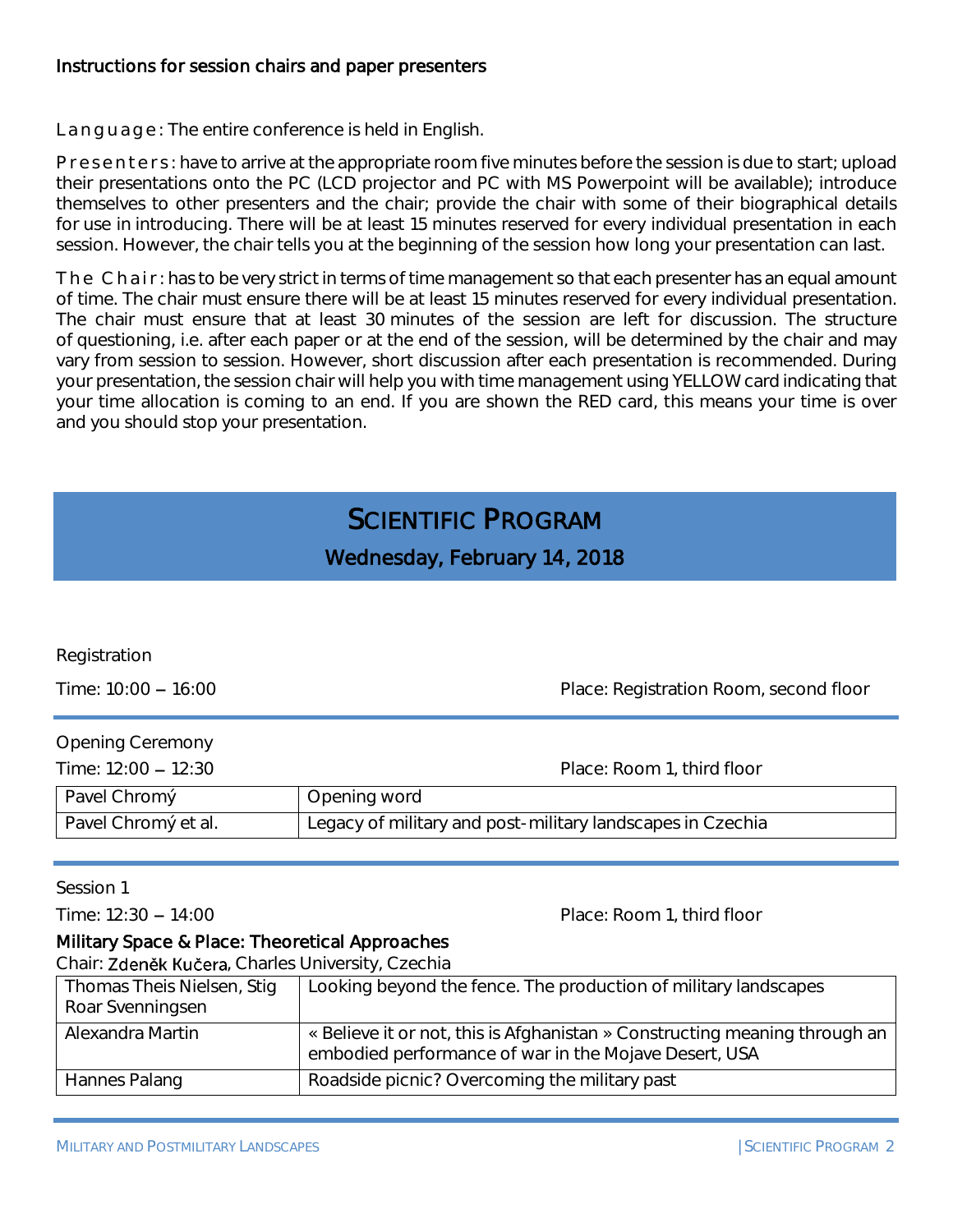#### Instructions for session chairs and paper presenters

Language: The entire conference is held in English.

P r e s e n t e r s : have to arrive at the appropriate room five minutes before the session is due to start; upload their presentations onto the PC (LCD projector and PC with MS Powerpoint will be available); introduce themselves to other presenters and the chair; provide the chair with some of their biographical details for use in introducing. There will be at least 15 minutes reserved for every individual presentation in each session. However, the chair tells you at the beginning of the session how long your presentation can last.

The Chair: has to be very strict in terms of time management so that each presenter has an equal amount of time. The chair must ensure there will be at least 15 minutes reserved for every individual presentation. The chair must ensure that at least 30 minutes of the session are left for discussion. The structure of questioning, i.e. after each paper or at the end of the session, will be determined by the chair and may vary from session to session. However, short discussion after each presentation is recommended. During your presentation, the session chair will help you with time management using YELLOW card indicating that your time allocation is coming to an end. If you are shown the RED card, this means your time is over and you should stop your presentation.

# SCIENTIFIC PROGRAM

Wednesday, February 14, 2018

| Registration<br>Time: $10:00 - 16:00$ | Place: Registration Room, second floor                     |
|---------------------------------------|------------------------------------------------------------|
| <b>Opening Ceremony</b>               |                                                            |
| Time: $12:00 - 12:30$                 | Place: Room 1, third floor                                 |
| Pavel Chromý                          | Opening word                                               |
| Pavel Chromý et al.                   | Legacy of military and post-military landscapes in Czechia |
|                                       |                                                            |
| Session 1                             |                                                            |
| Time: $12:30 - 14:00$                 | Place: Room 1, third floor                                 |

#### Military Space & Place: Theoretical Approaches

Chair: Zdeněk Kučera, Charles University, Czechia

| Thomas Theis Nielsen, Stig<br>Roar Svenningsen | Looking beyond the fence. The production of military landscapes                                                                     |
|------------------------------------------------|-------------------------------------------------------------------------------------------------------------------------------------|
| Alexandra Martin                               | « Believe it or not, this is Afghanistan » Constructing meaning through an<br>embodied performance of war in the Mojave Desert, USA |
| Hannes Palang                                  | Roadside picnic? Overcoming the military past                                                                                       |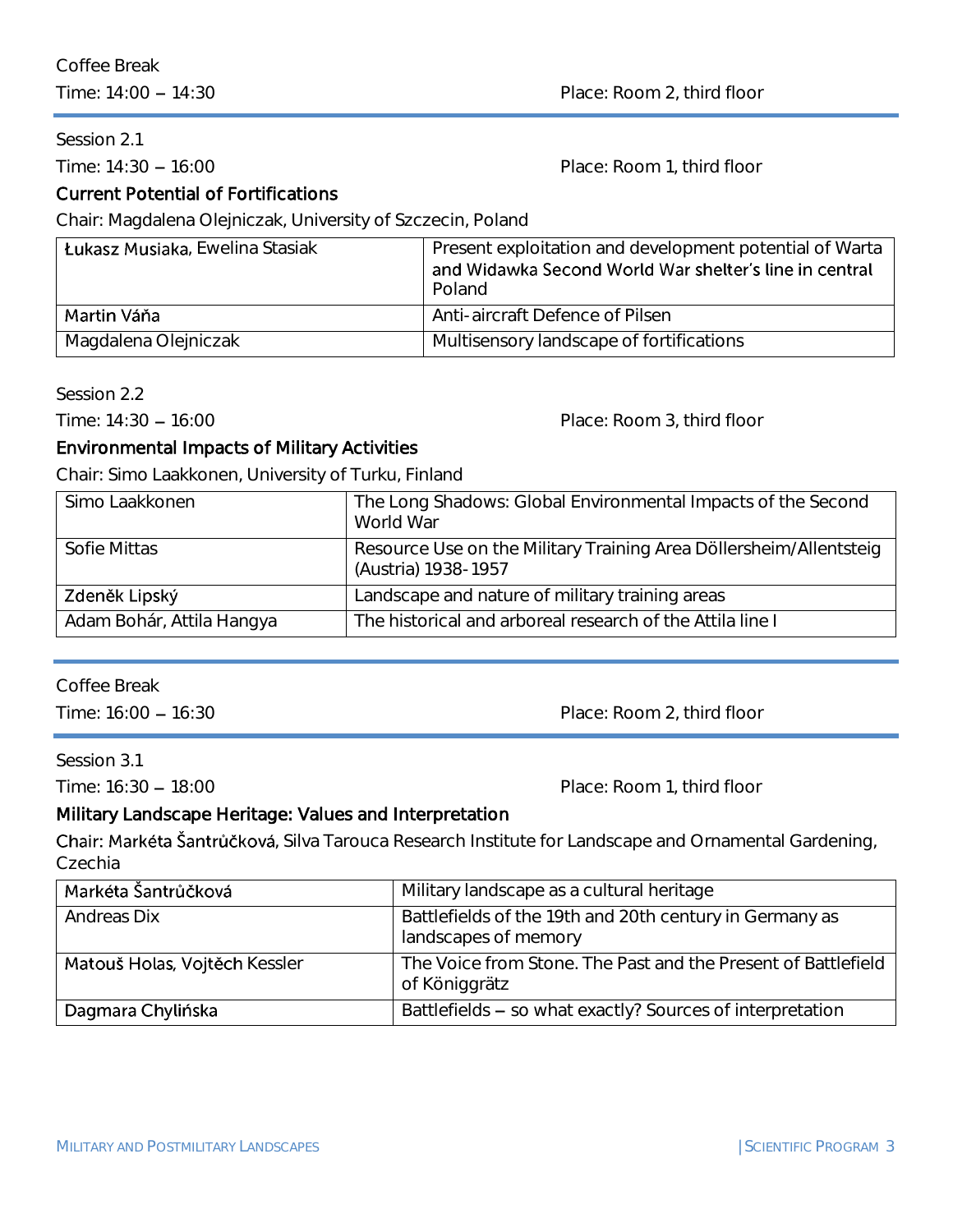Session 2.1

Time: 14:30 - 16:00 **Place: Room 1, third floor** 

# Current Potential of Fortifications

Chair: Magdalena Olejniczak, University of Szczecin, Poland

| Łukasz Musiaka, Ewelina Stasiak | Present exploitation and development potential of Warta<br>and Widawka Second World War shelter's line in central<br>Poland |
|---------------------------------|-----------------------------------------------------------------------------------------------------------------------------|
| Martin Váňa                     | Anti-aircraft Defence of Pilsen                                                                                             |
| Magdalena Olejniczak            | Multisensory landscape of fortifications                                                                                    |

Session 2.2

Time: 14:30 - 16:00 Place: Room 3, third floor

# Environmental Impacts of Military Activities

Chair: Simo Laakkonen, University of Turku, Finland

| Simo Laakkonen            | The Long Shadows: Global Environmental Impacts of the Second<br>World War                 |
|---------------------------|-------------------------------------------------------------------------------------------|
| Sofie Mittas              | Resource Use on the Military Training Area Döllersheim/Allentsteig<br>(Austria) 1938-1957 |
| Zdeněk Lipský             | Landscape and nature of military training areas                                           |
| Adam Bohár, Attila Hangya | The historical and arboreal research of the Attila line I                                 |

Coffee Break

Time: 16:00 - 16:30 Place: Room 2, third floor

Session 3.1

Time: 16:30 - 18:00 **Place: Room 1, third floor** 

# Military Landscape Heritage: Values and Interpretation

Chair: Markéta Šantrůčková, Silva Tarouca Research Institute for Landscape and Ornamental Gardening, Czechia

| Markéta Šantrůčková           | Military landscape as a cultural heritage                                       |
|-------------------------------|---------------------------------------------------------------------------------|
| Andreas Dix                   | Battlefields of the 19th and 20th century in Germany as<br>landscapes of memory |
| Matouš Holas, Vojtěch Kessler | The Voice from Stone. The Past and the Present of Battlefield<br>of Königgrätz  |
| Dagmara Chylińska             | Battlefields - so what exactly? Sources of interpretation                       |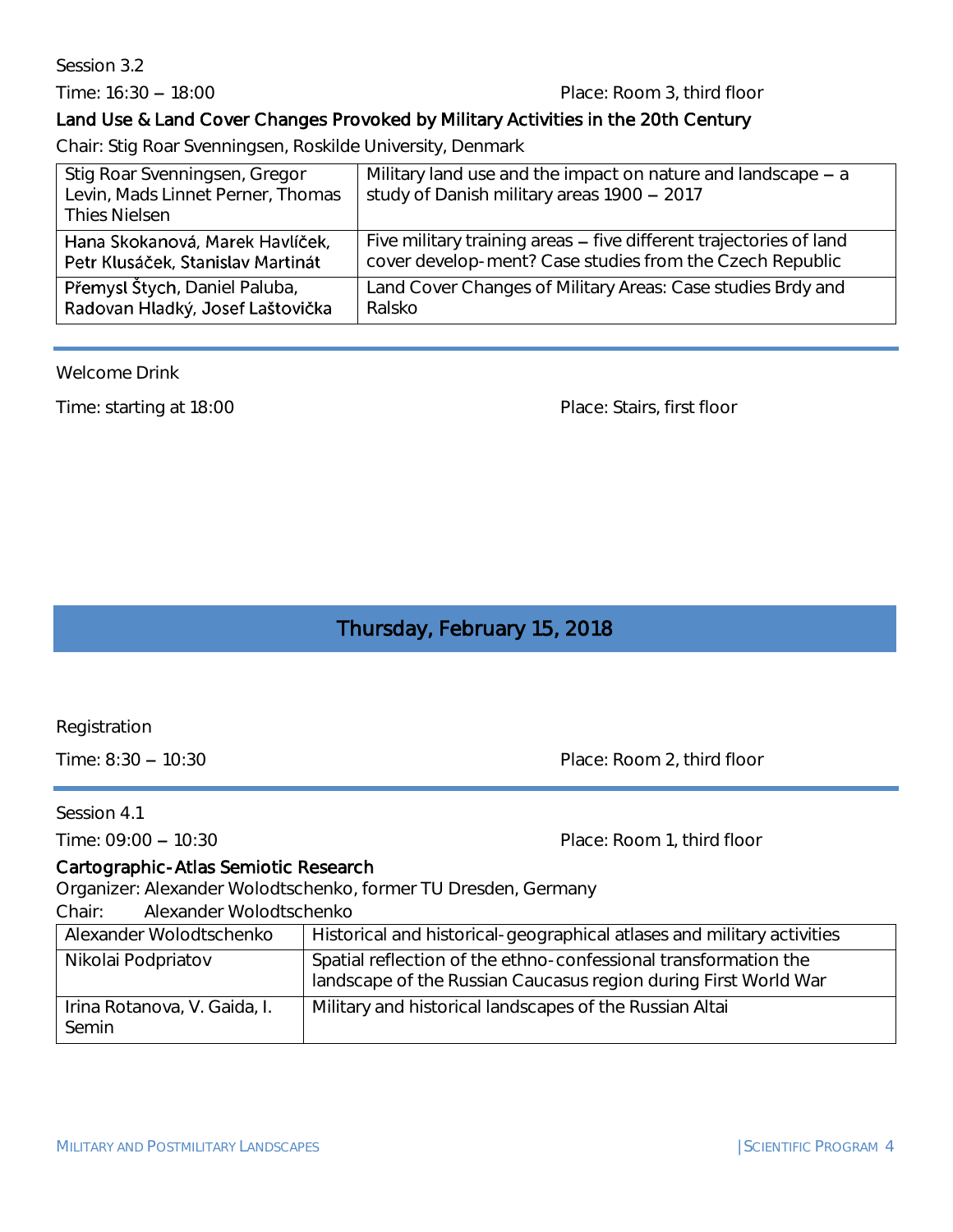Session 3.2

#### Time: 16:30 - 18:00 Place: Room 3, third floor

# Land Use & Land Cover Changes Provoked by Military Activities in the 20th Century

Chair: Stig Roar Svenningsen, Roskilde University, Denmark

| Stig Roar Svenningsen, Gregor<br>Levin, Mads Linnet Perner, Thomas<br><b>Thies Nielsen</b> | Military land use and the impact on nature and landscape $- a$<br>study of Danish military areas 1900 - 2017 |
|--------------------------------------------------------------------------------------------|--------------------------------------------------------------------------------------------------------------|
| Hana Skokanová, Marek Havlíček,                                                            | Five military training areas – five different trajectories of land                                           |
| Petr Klusáček, Stanislav Martinát                                                          | cover develop-ment? Case studies from the Czech Republic                                                     |
| Přemysl Štych, Daniel Paluba,                                                              | Land Cover Changes of Military Areas: Case studies Brdy and                                                  |
| Radovan Hladký, Josef Laštovička                                                           | Ralsko                                                                                                       |

Welcome Drink

Time: starting at 18:00 Place: Stairs, first floor

# Thursday, February 15, 2018

Registration

Time: 8:30 - 10:30 Place: Room 2, third floor

Session 4.1

Time: 09:00 - 10:30 Place: Room 1, third floor

### Cartographic-Atlas Semiotic Research

Organizer: Alexander Wolodtschenko, former TU Dresden, Germany

Chair: Alexander Wolodtschenko

| Alexander Wolodtschenko               | Historical and historical-geographical atlases and military activities                                                             |
|---------------------------------------|------------------------------------------------------------------------------------------------------------------------------------|
| Nikolai Podpriatov                    | Spatial reflection of the ethno-confessional transformation the<br>landscape of the Russian Caucasus region during First World War |
| Irina Rotanova, V. Gaida, I.<br>Semin | Military and historical landscapes of the Russian Altai                                                                            |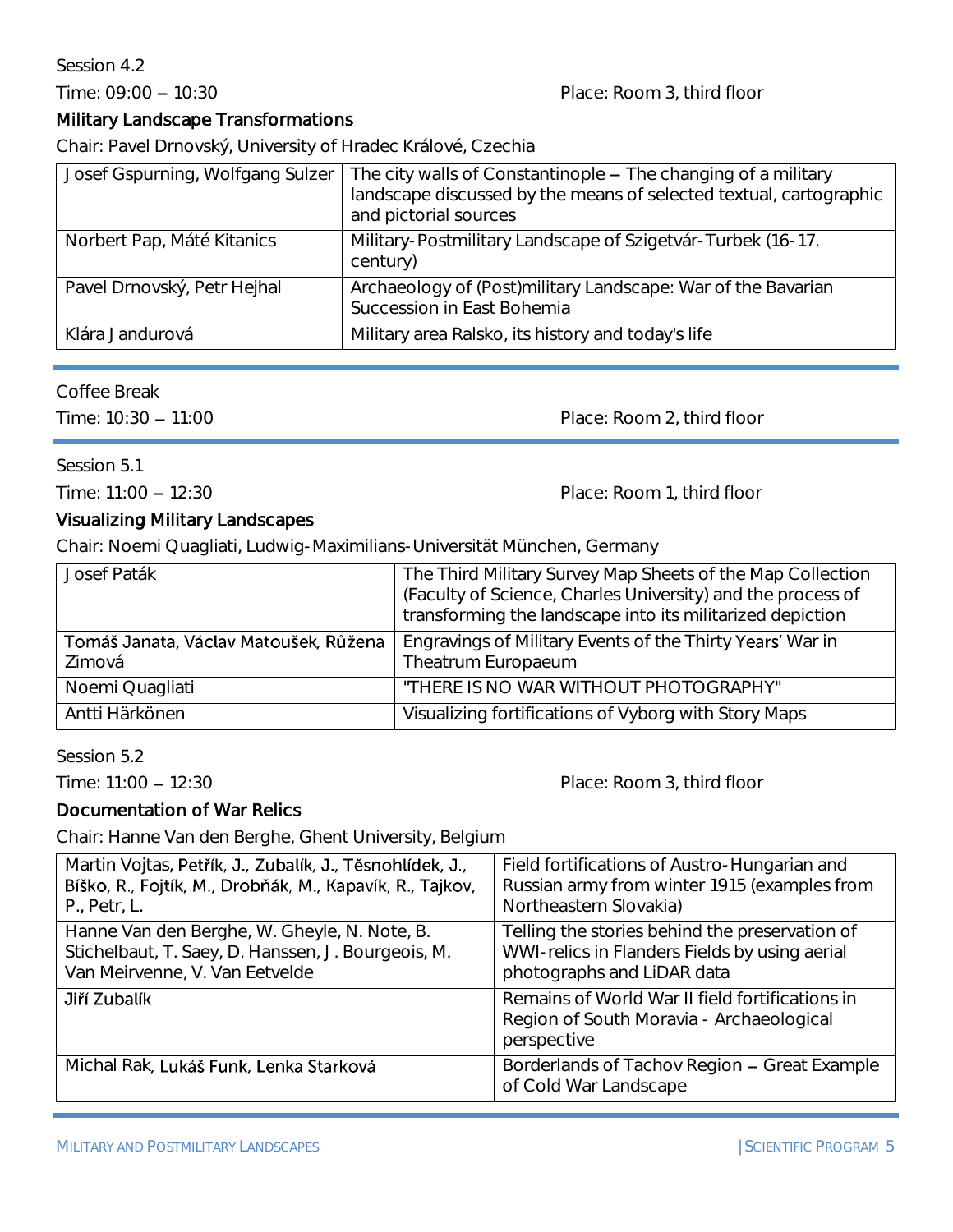## Session 4.2

# Time: 09:00 - 10:30 Place: Room 3, third floor

# Military Landscape Transformations

Chair: Pavel Drnovský, University of Hradec Králové, Czechia

| Josef Gspurning, Wolfgang Sulzer | The city walls of Constantinople - The changing of a military<br>landscape discussed by the means of selected textual, cartographic<br>and pictorial sources |
|----------------------------------|--------------------------------------------------------------------------------------------------------------------------------------------------------------|
| Norbert Pap, Máté Kitanics       | Military-Postmilitary Landscape of Szigetvár-Turbek (16-17.<br>century)                                                                                      |
| Pavel Drnovský, Petr Hejhal      | Archaeology of (Post)military Landscape: War of the Bavarian<br>Succession in East Bohemia                                                                   |
| Klára Jandurová                  | Military area Ralsko, its history and today's life                                                                                                           |

#### Coffee Break

Time: 10:30 - 11:00 Place: Room 2, third floor

Session 5.1

Time: 11:00 - 12:30 Place: Room 1, third floor

# Visualizing Military Landscapes

Chair: Noemi Quagliati, Ludwig-Maximilians-Universität München, Germany

| Josef Paták                                     | The Third Military Survey Map Sheets of the Map Collection<br>(Faculty of Science, Charles University) and the process of<br>transforming the landscape into its militarized depiction |
|-------------------------------------------------|----------------------------------------------------------------------------------------------------------------------------------------------------------------------------------------|
| Tomáš Janata, Václav Matoušek, Růžena<br>Zimová | Engravings of Military Events of the Thirty Years' War in<br>Theatrum Europaeum                                                                                                        |
| Noemi Quagliati                                 | "THERE IS NO WAR WITHOUT PHOTOGRAPHY"                                                                                                                                                  |
| Antti Härkönen                                  | Visualizing fortifications of Vyborg with Story Maps                                                                                                                                   |

Session 5.2

Time: 11:00 - 12:30 Place: Room 3, third floor

# Documentation of War Relics

Chair: Hanne Van den Berghe, Ghent University, Belgium

| Martin Vojtas, Petřík, J., Zubalík, J., Těsnohlídek, J., | Field fortifications of Austro-Hungarian and                                                               |
|----------------------------------------------------------|------------------------------------------------------------------------------------------------------------|
| Bíško, R., Fojtík, M., Drobňák, M., Kapavík, R., Tajkov, | Russian army from winter 1915 (examples from                                                               |
| P., Petr, L.                                             | Northeastern Slovakia)                                                                                     |
| Hanne Van den Berghe, W. Gheyle, N. Note, B.             | Telling the stories behind the preservation of                                                             |
| Stichelbaut, T. Saey, D. Hanssen, J. Bourgeois, M.       | WWI-relics in Flanders Fields by using aerial                                                              |
| Van Meirvenne, V. Van Eetvelde                           | photographs and LiDAR data                                                                                 |
| Jiří Zubalík                                             | Remains of World War II field fortifications in<br>Region of South Moravia - Archaeological<br>perspective |
| Michal Rak, Lukáš Funk, Lenka Starková                   | Borderlands of Tachov Region - Great Example<br>of Cold War Landscape                                      |